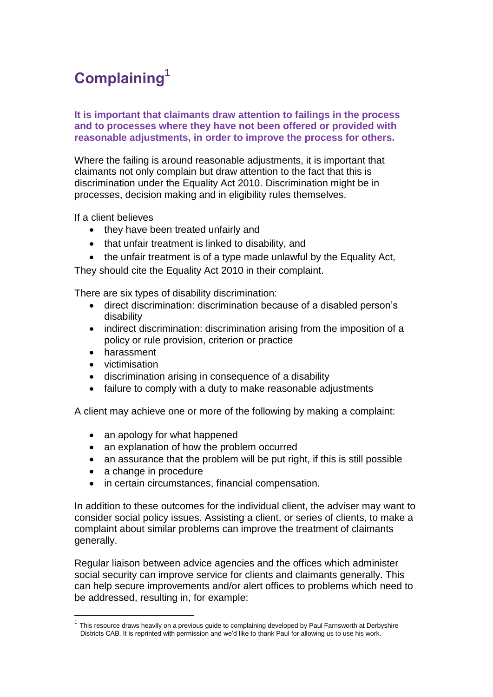# **Complaining<sup>1</sup>**

# **It is important that claimants draw attention to failings in the process and to processes where they have not been offered or provided with reasonable adjustments, in order to improve the process for others.**

Where the failing is around reasonable adjustments, it is important that claimants not only complain but draw attention to the fact that this is discrimination under the Equality Act 2010. Discrimination might be in processes, decision making and in eligibility rules themselves.

If a client believes

- they have been treated unfairly and
- that unfair treatment is linked to disability, and
- the unfair treatment is of a type made unlawful by the Equality Act,

They should cite the Equality Act 2010 in their complaint.

There are six types of disability discrimination:

- direct discrimination: discrimination because of a disabled person's disability
- indirect discrimination: discrimination arising from the imposition of a policy or rule provision, criterion or practice
- harassment
- victimisation

l

- discrimination arising in consequence of a disability
- failure to comply with a duty to make reasonable adjustments

A client may achieve one or more of the following by making a complaint:

- an apology for what happened
- an explanation of how the problem occurred
- an assurance that the problem will be put right, if this is still possible
- a change in procedure
- in certain circumstances, financial compensation.

In addition to these outcomes for the individual client, the adviser may want to consider social policy issues. Assisting a client, or series of clients, to make a complaint about similar problems can improve the treatment of claimants generally.

Regular liaison between advice agencies and the offices which administer social security can improve service for clients and claimants generally. This can help secure improvements and/or alert offices to problems which need to be addressed, resulting in, for example:

<sup>1</sup> This resource draws heavily on a previous guide to complaining developed by Paul Farnsworth at Derbyshire Districts CAB. It is reprinted with permission and we'd like to thank Paul for allowing us to use his work.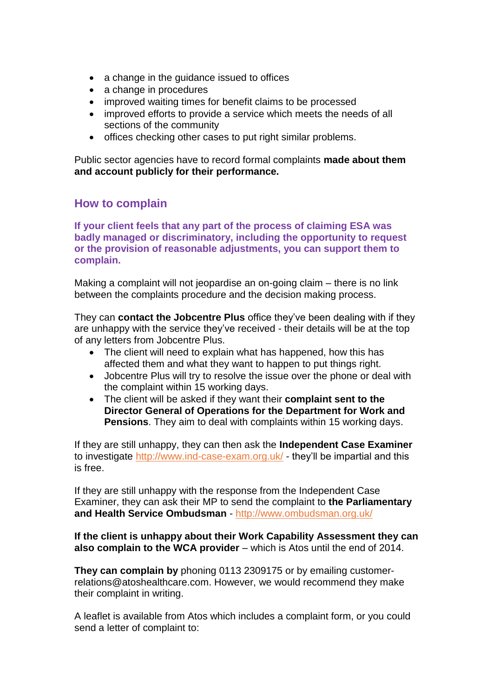- a change in the quidance issued to offices
- a change in procedures
- improved waiting times for benefit claims to be processed
- improved efforts to provide a service which meets the needs of all sections of the community
- offices checking other cases to put right similar problems.

Public sector agencies have to record formal complaints **made about them and account publicly for their performance.** 

# **How to complain**

**If your client feels that any part of the process of claiming ESA was badly managed or discriminatory, including the opportunity to request or the provision of reasonable adjustments, you can support them to complain.** 

Making a complaint will not jeopardise an on-going claim – there is no link between the complaints procedure and the decision making process.

They can **contact the Jobcentre Plus** office they've been dealing with if they are unhappy with the service they've received - their details will be at the top of any letters from Jobcentre Plus.

- The client will need to explain what has happened, how this has affected them and what they want to happen to put things right.
- Jobcentre Plus will try to resolve the issue over the phone or deal with the complaint within 15 working days.
- The client will be asked if they want their **complaint sent to the Director General of Operations for the Department for Work and Pensions**. They aim to deal with complaints within 15 working days.

If they are still unhappy, they can then ask the **Independent Case Examiner** to investigate<http://www.ind-case-exam.org.uk/> - they'll be impartial and this is free.

If they are still unhappy with the response from the Independent Case Examiner, they can ask their MP to send the complaint to **the Parliamentary and Health Service Ombudsman** - <http://www.ombudsman.org.uk/>

# **If the client is unhappy about their Work Capability Assessment they can also complain to the WCA provider** – which is Atos until the end of 2014.

**They can complain by** phoning 0113 2309175 or by emailing customerrelations@atoshealthcare.com. However, we would recommend they make their complaint in writing.

A leaflet is available from Atos which includes a complaint form, or you could send a letter of complaint to: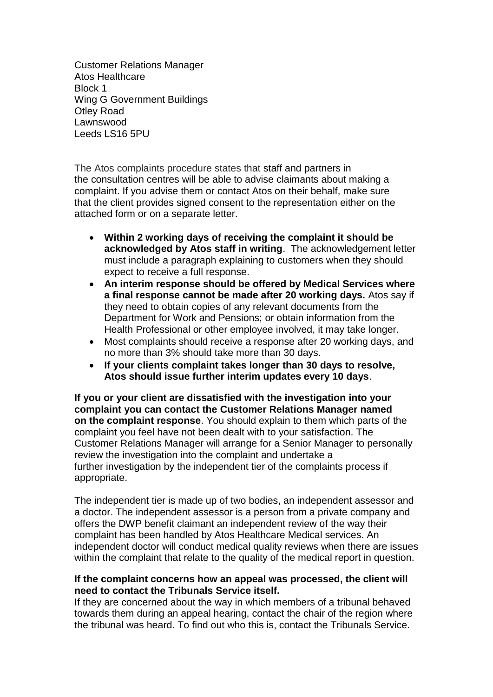Customer Relations Manager Atos Healthcare Block 1 Wing G Government Buildings Otley Road Lawnswood Leeds LS16 5PU

The Atos complaints procedure states that staff and partners in the consultation centres will be able to advise claimants about making a complaint. If you advise them or contact Atos on their behalf, make sure that the client provides signed consent to the representation either on the attached form or on a separate letter.

- **Within 2 working days of receiving the complaint it should be acknowledged by Atos staff in writing**. The acknowledgement letter must include a paragraph explaining to customers when they should expect to receive a full response.
- **An interim response should be offered by Medical Services where a final response cannot be made after 20 working days.** Atos say if they need to obtain copies of any relevant documents from the Department for Work and Pensions; or obtain information from the Health Professional or other employee involved, it may take longer.
- Most complaints should receive a response after 20 working days, and no more than 3% should take more than 30 days.
- **If your clients complaint takes longer than 30 days to resolve, Atos should issue further interim updates every 10 days**.

**If you or your client are dissatisfied with the investigation into your complaint you can contact the Customer Relations Manager named on the complaint response**. You should explain to them which parts of the complaint you feel have not been dealt with to your satisfaction. The Customer Relations Manager will arrange for a Senior Manager to personally review the investigation into the complaint and undertake a further investigation by the independent tier of the complaints process if appropriate.

The independent tier is made up of two bodies, an independent assessor and a doctor. The independent assessor is a person from a private company and offers the DWP benefit claimant an independent review of the way their complaint has been handled by Atos Healthcare Medical services. An independent doctor will conduct medical quality reviews when there are issues within the complaint that relate to the quality of the medical report in question.

# **If the complaint concerns how an appeal was processed, the client will need to contact the Tribunals Service itself.**

If they are concerned about the way in which members of a tribunal behaved towards them during an appeal hearing, contact the chair of the region where the tribunal was heard. To find out who this is, contact the Tribunals Service.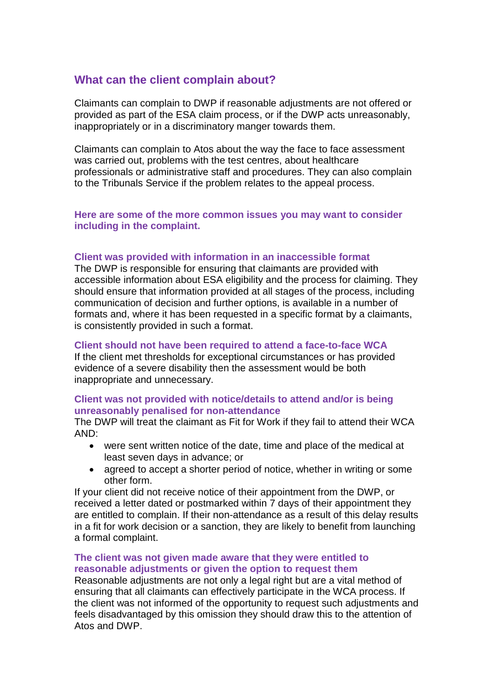# **What can the client complain about?**

Claimants can complain to DWP if reasonable adjustments are not offered or provided as part of the ESA claim process, or if the DWP acts unreasonably, inappropriately or in a discriminatory manger towards them.

Claimants can complain to Atos about the way the face to face assessment was carried out, problems with the test centres, about healthcare professionals or administrative staff and procedures. They can also complain to the Tribunals Service if the problem relates to the appeal process.

# **Here are some of the more common issues you may want to consider including in the complaint.**

# **Client was provided with information in an inaccessible format**

The DWP is responsible for ensuring that claimants are provided with accessible information about ESA eligibility and the process for claiming. They should ensure that information provided at all stages of the process, including communication of decision and further options, is available in a number of formats and, where it has been requested in a specific format by a claimants, is consistently provided in such a format.

# **Client should not have been required to attend a face-to-face WCA**

If the client met thresholds for exceptional circumstances or has provided evidence of a severe disability then the assessment would be both inappropriate and unnecessary.

# **Client was not provided with notice/details to attend and/or is being unreasonably penalised for non-attendance**

The DWP will treat the claimant as Fit for Work if they fail to attend their WCA AND:

- were sent written notice of the date, time and place of the medical at least seven days in advance; or
- agreed to accept a shorter period of notice, whether in writing or some other form.

If your client did not receive notice of their appointment from the DWP, or received a letter dated or postmarked within 7 days of their appointment they are entitled to complain. If their non-attendance as a result of this delay results in a fit for work decision or a sanction, they are likely to benefit from launching a formal complaint.

# **The client was not given made aware that they were entitled to reasonable adjustments or given the option to request them**

Reasonable adjustments are not only a legal right but are a vital method of ensuring that all claimants can effectively participate in the WCA process. If the client was not informed of the opportunity to request such adjustments and feels disadvantaged by this omission they should draw this to the attention of Atos and DWP.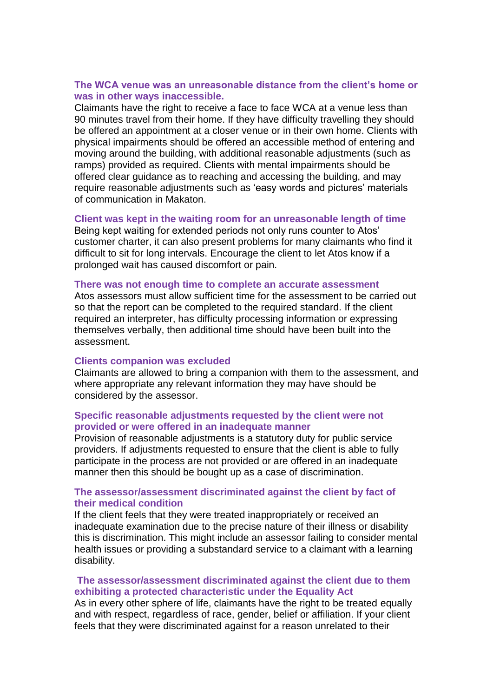# **The WCA venue was an unreasonable distance from the client's home or was in other ways inaccessible.**

Claimants have the right to receive a face to face WCA at a venue less than 90 minutes travel from their home. If they have difficulty travelling they should be offered an appointment at a closer venue or in their own home. Clients with physical impairments should be offered an accessible method of entering and moving around the building, with additional reasonable adjustments (such as ramps) provided as required. Clients with mental impairments should be offered clear guidance as to reaching and accessing the building, and may require reasonable adjustments such as 'easy words and pictures' materials of communication in Makaton.

#### **Client was kept in the waiting room for an unreasonable length of time**

Being kept waiting for extended periods not only runs counter to Atos' customer charter, it can also present problems for many claimants who find it difficult to sit for long intervals. Encourage the client to let Atos know if a prolonged wait has caused discomfort or pain.

#### **There was not enough time to complete an accurate assessment**

Atos assessors must allow sufficient time for the assessment to be carried out so that the report can be completed to the required standard. If the client required an interpreter, has difficulty processing information or expressing themselves verbally, then additional time should have been built into the assessment.

#### **Clients companion was excluded**

Claimants are allowed to bring a companion with them to the assessment, and where appropriate any relevant information they may have should be considered by the assessor.

# **Specific reasonable adjustments requested by the client were not provided or were offered in an inadequate manner**

Provision of reasonable adjustments is a statutory duty for public service providers. If adjustments requested to ensure that the client is able to fully participate in the process are not provided or are offered in an inadequate manner then this should be bought up as a case of discrimination.

# **The assessor/assessment discriminated against the client by fact of their medical condition**

If the client feels that they were treated inappropriately or received an inadequate examination due to the precise nature of their illness or disability this is discrimination. This might include an assessor failing to consider mental health issues or providing a substandard service to a claimant with a learning disability.

### **The assessor/assessment discriminated against the client due to them exhibiting a protected characteristic under the Equality Act**

As in every other sphere of life, claimants have the right to be treated equally and with respect, regardless of race, gender, belief or affiliation. If your client feels that they were discriminated against for a reason unrelated to their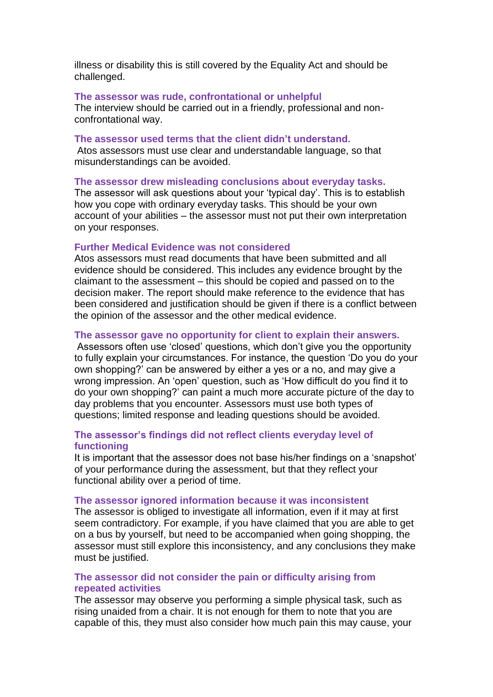illness or disability this is still covered by the Equality Act and should be challenged.

#### **The assessor was rude, confrontational or unhelpful**

The interview should be carried out in a friendly, professional and nonconfrontational way.

#### **The assessor used terms that the client didn't understand.**

Atos assessors must use clear and understandable language, so that misunderstandings can be avoided.

#### **The assessor drew misleading conclusions about everyday tasks.**

The assessor will ask questions about your 'typical day'. This is to establish how you cope with ordinary everyday tasks. This should be your own account of your abilities – the assessor must not put their own interpretation on your responses.

#### **Further Medical Evidence was not considered**

Atos assessors must read documents that have been submitted and all evidence should be considered. This includes any evidence brought by the claimant to the assessment – this should be copied and passed on to the decision maker. The report should make reference to the evidence that has been considered and justification should be given if there is a conflict between the opinion of the assessor and the other medical evidence.

#### **The assessor gave no opportunity for client to explain their answers.**

Assessors often use 'closed' questions, which don't give you the opportunity to fully explain your circumstances. For instance, the question 'Do you do your own shopping?' can be answered by either a yes or a no, and may give a wrong impression. An 'open' question, such as 'How difficult do you find it to do your own shopping?' can paint a much more accurate picture of the day to day problems that you encounter. Assessors must use both types of questions; limited response and leading questions should be avoided.

# **The assessor's findings did not reflect clients everyday level of functioning**

It is important that the assessor does not base his/her findings on a 'snapshot' of your performance during the assessment, but that they reflect your functional ability over a period of time.

#### **The assessor ignored information because it was inconsistent**

The assessor is obliged to investigate all information, even if it may at first seem contradictory. For example, if you have claimed that you are able to get on a bus by yourself, but need to be accompanied when going shopping, the assessor must still explore this inconsistency, and any conclusions they make must be justified.

# **The assessor did not consider the pain or difficulty arising from repeated activities**

The assessor may observe you performing a simple physical task, such as rising unaided from a chair. It is not enough for them to note that you are capable of this, they must also consider how much pain this may cause, your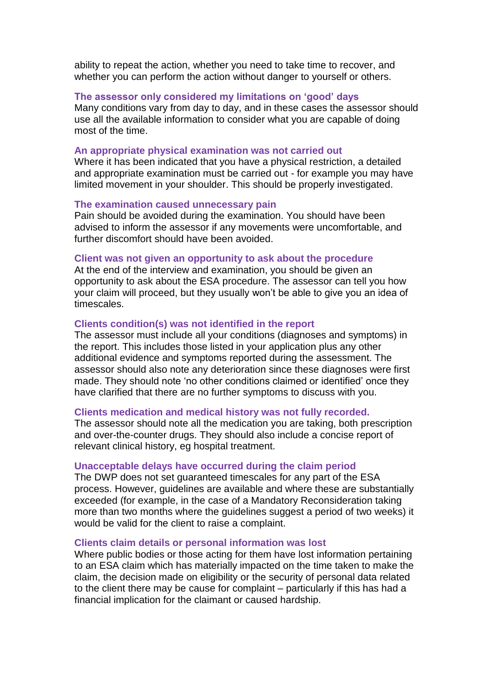ability to repeat the action, whether you need to take time to recover, and whether you can perform the action without danger to yourself or others.

# **The assessor only considered my limitations on 'good' days**

Many conditions vary from day to day, and in these cases the assessor should use all the available information to consider what you are capable of doing most of the time.

### **An appropriate physical examination was not carried out**

Where it has been indicated that you have a physical restriction, a detailed and appropriate examination must be carried out - for example you may have limited movement in your shoulder. This should be properly investigated.

### **The examination caused unnecessary pain**

Pain should be avoided during the examination. You should have been advised to inform the assessor if any movements were uncomfortable, and further discomfort should have been avoided.

#### **Client was not given an opportunity to ask about the procedure**

At the end of the interview and examination, you should be given an opportunity to ask about the ESA procedure. The assessor can tell you how your claim will proceed, but they usually won't be able to give you an idea of timescales.

# **Clients condition(s) was not identified in the report**

The assessor must include all your conditions (diagnoses and symptoms) in the report. This includes those listed in your application plus any other additional evidence and symptoms reported during the assessment. The assessor should also note any deterioration since these diagnoses were first made. They should note 'no other conditions claimed or identified' once they have clarified that there are no further symptoms to discuss with you.

#### **Clients medication and medical history was not fully recorded.**

The assessor should note all the medication you are taking, both prescription and over-the-counter drugs. They should also include a concise report of relevant clinical history, eg hospital treatment.

# **Unacceptable delays have occurred during the claim period**

The DWP does not set guaranteed timescales for any part of the ESA process. However, guidelines are available and where these are substantially exceeded (for example, in the case of a Mandatory Reconsideration taking more than two months where the guidelines suggest a period of two weeks) it would be valid for the client to raise a complaint.

#### **Clients claim details or personal information was lost**

Where public bodies or those acting for them have lost information pertaining to an ESA claim which has materially impacted on the time taken to make the claim, the decision made on eligibility or the security of personal data related to the client there may be cause for complaint – particularly if this has had a financial implication for the claimant or caused hardship.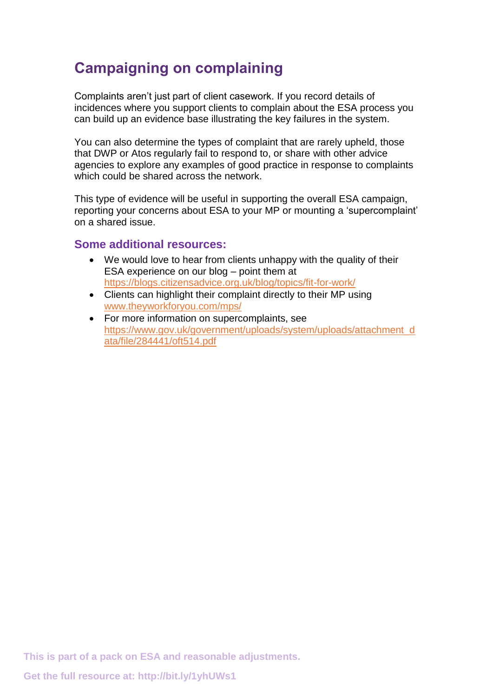# **Campaigning on complaining**

Complaints aren't just part of client casework. If you record details of incidences where you support clients to complain about the ESA process you can build up an evidence base illustrating the key failures in the system.

You can also determine the types of complaint that are rarely upheld, those that DWP or Atos regularly fail to respond to, or share with other advice agencies to explore any examples of good practice in response to complaints which could be shared across the network.

This type of evidence will be useful in supporting the overall ESA campaign, reporting your concerns about ESA to your MP or mounting a 'supercomplaint' on a shared issue.

# **Some additional resources:**

- We would love to hear from clients unhappy with the quality of their ESA experience on our blog – point them at <https://blogs.citizensadvice.org.uk/blog/topics/fit-for-work/>
- Clients can highlight their complaint directly to their MP using [www.theyworkforyou.com/mps/](http://www.theyworkforyou.com/mps/)
- For more information on supercomplaints, see [https://www.gov.uk/government/uploads/system/uploads/attachment\\_d](https://www.gov.uk/government/uploads/system/uploads/attachment_data/file/284441/oft514.pdf) [ata/file/284441/oft514.pdf](https://www.gov.uk/government/uploads/system/uploads/attachment_data/file/284441/oft514.pdf)